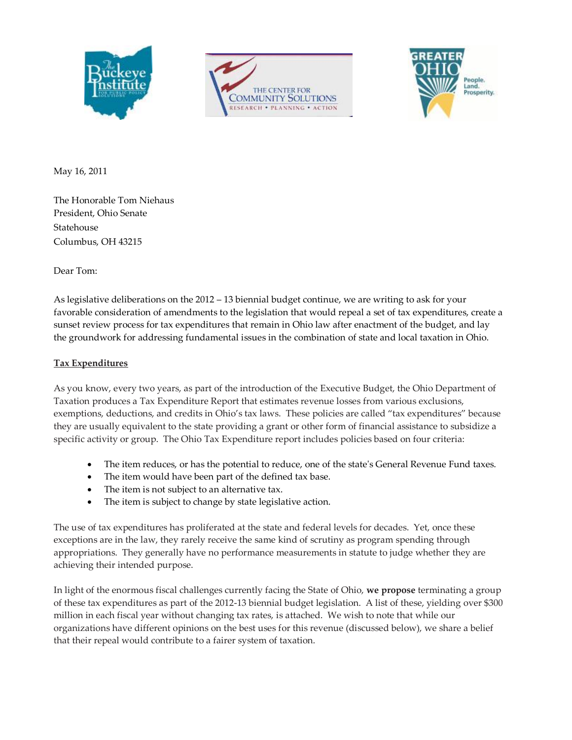





May 16, 2011

The Honorable Tom Niehaus President, Ohio Senate Statehouse Columbus, OH 43215

Dear Tom:

As legislative deliberations on the 2012 – 13 biennial budget continue, we are writing to ask for your favorable consideration of amendments to the legislation that would repeal a set of tax expenditures, create a sunset review process for tax expenditures that remain in Ohio law after enactment of the budget, and lay the groundwork for addressing fundamental issues in the combination of state and local taxation in Ohio.

## **Tax Expenditures**

As you know, every two years, as part of the introduction of the Executive Budget, the Ohio Department of Taxation produces a Tax Expenditure Report that estimates revenue losses from various exclusions, exemptions, deductions, and credits in Ohio's tax laws. These policies are called "tax expenditures" because they are usually equivalent to the state providing a grant or other form of financial assistance to subsidize a specific activity or group. The Ohio Tax Expenditure report includes policies based on four criteria:

- The item reduces, or has the potential to reduce, one of the state's General Revenue Fund taxes.
- The item would have been part of the defined tax base.
- The item is not subject to an alternative tax.
- The item is subject to change by state legislative action.

The use of tax expenditures has proliferated at the state and federal levels for decades. Yet, once these exceptions are in the law, they rarely receive the same kind of scrutiny as program spending through appropriations. They generally have no performance measurements in statute to judge whether they are achieving their intended purpose.

In light of the enormous fiscal challenges currently facing the State of Ohio, **we propose** terminating a group of these tax expenditures as part of the 2012-13 biennial budget legislation. A list of these, yielding over \$300 million in each fiscal year without changing tax rates, is attached. We wish to note that while our organizations have different opinions on the best uses for this revenue (discussed below), we share a belief that their repeal would contribute to a fairer system of taxation.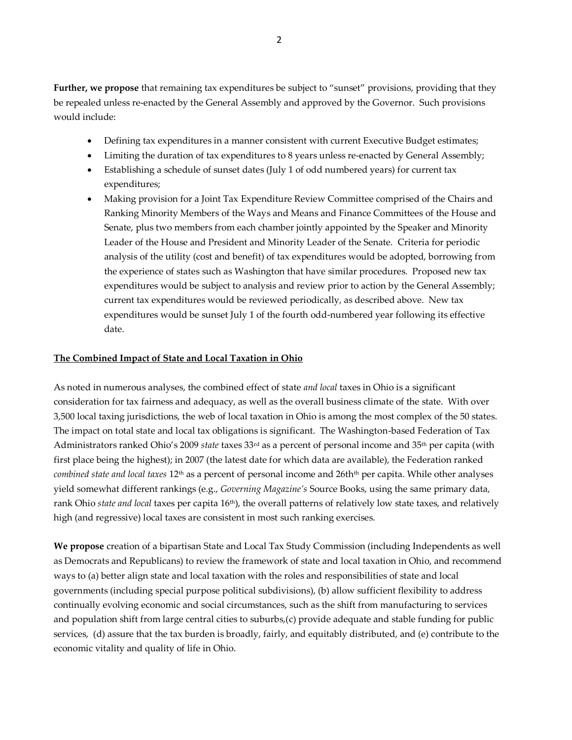**Further, we propose** that remaining tax expenditures be subject to "sunset" provisions, providing that they be repealed unless re-enacted by the General Assembly and approved by the Governor. Such provisions would include:

- Defining tax expenditures in a manner consistent with current Executive Budget estimates;
- Limiting the duration of tax expenditures to 8 years unless re-enacted by General Assembly;
- Establishing a schedule of sunset dates (July 1 of odd numbered years) for current tax expenditures;
- Making provision for a Joint Tax Expenditure Review Committee comprised of the Chairs and Ranking Minority Members of the Ways and Means and Finance Committees of the House and Senate, plus two members from each chamber jointly appointed by the Speaker and Minority Leader of the House and President and Minority Leader of the Senate. Criteria for periodic analysis of the utility (cost and benefit) of tax expenditures would be adopted, borrowing from the experience of states such as Washington that have similar procedures. Proposed new tax expenditures would be subject to analysis and review prior to action by the General Assembly; current tax expenditures would be reviewed periodically, as described above. New tax expenditures would be sunset July 1 of the fourth odd-numbered year following its effective date.

## **The Combined Impact of State and Local Taxation in Ohio**

As noted in numerous analyses, the combined effect of state *and local* taxes in Ohio is a significant consideration for tax fairness and adequacy, as well as the overall business climate of the state. With over 3,500 local taxing jurisdictions, the web of local taxation in Ohio is among the most complex of the 50 states. The impact on total state and local tax obligations is significant. The Washington-based Federation of Tax Administrators ranked Ohio's 2009 *state* taxes 33rd as a percent of personal income and 35th per capita (with first place being the highest); in 2007 (the latest date for which data are available), the Federation ranked *combined state and local taxes* 12<sup>th</sup> as a percent of personal income and 26th<sup>th</sup> per capita. While other analyses yield somewhat different rankings (e.g., *Governing Magazine's* Source Books, using the same primary data, rank Ohio *state and local* taxes per capita 16<sup>th</sup>), the overall patterns of relatively low state taxes, and relatively high (and regressive) local taxes are consistent in most such ranking exercises.

**We propose** creation of a bipartisan State and Local Tax Study Commission (including Independents as well as Democrats and Republicans) to review the framework of state and local taxation in Ohio, and recommend ways to (a) better align state and local taxation with the roles and responsibilities of state and local governments (including special purpose political subdivisions), (b) allow sufficient flexibility to address continually evolving economic and social circumstances, such as the shift from manufacturing to services and population shift from large central cities to suburbs,(c) provide adequate and stable funding for public services, (d) assure that the tax burden is broadly, fairly, and equitably distributed, and (e) contribute to the economic vitality and quality of life in Ohio.